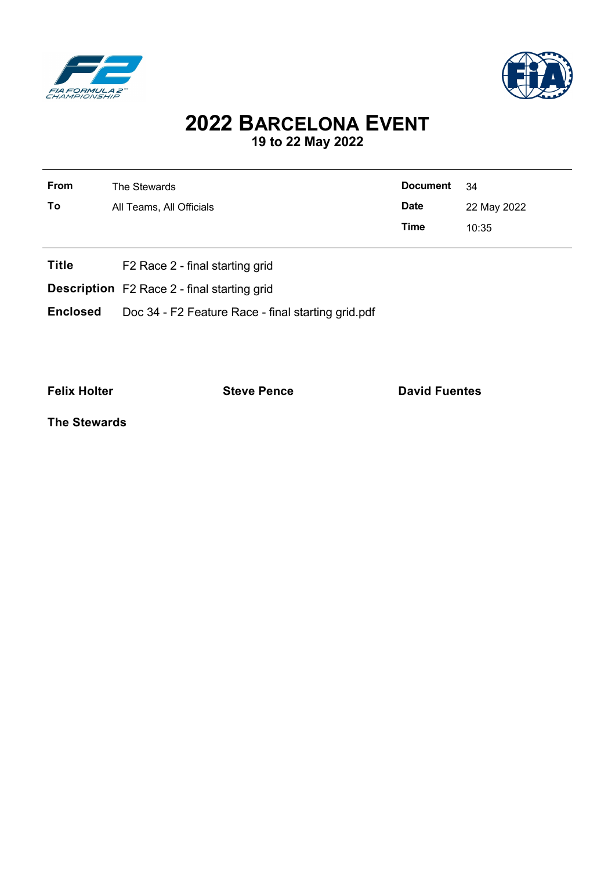



## **2022 BARCELONA EVENT 19 to 22 May 2022**

| <b>From</b>                                        | <b>Document</b><br>The Stewards             |             | - 34        |  |  |
|----------------------------------------------------|---------------------------------------------|-------------|-------------|--|--|
| To                                                 | All Teams, All Officials                    |             | 22 May 2022 |  |  |
|                                                    |                                             | <b>Time</b> | 10:35       |  |  |
| <b>Title</b>                                       | F <sub>2</sub> Race 2 - final starting grid |             |             |  |  |
| <b>Description</b> F2 Race 2 - final starting grid |                                             |             |             |  |  |

**Enclosed** Doc 34 - F2 Feature Race - final starting grid.pdf

**Felix Holter Constanting Steve Pence Constanting David Fuentes** 

**The Stewards**